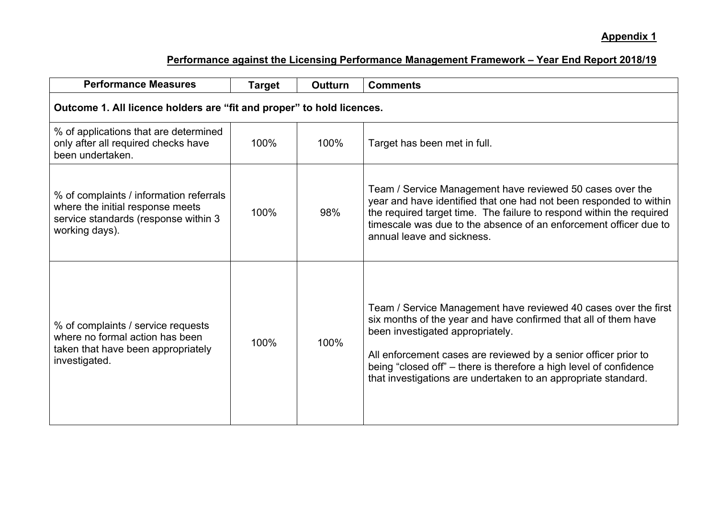## **Appendix 1**

| <b>Performance Measures</b>                                                                                                           | <b>Target</b> | <b>Outturn</b> | <b>Comments</b>                                                                                                                                                                                                                                                                                                                                                                   |  |
|---------------------------------------------------------------------------------------------------------------------------------------|---------------|----------------|-----------------------------------------------------------------------------------------------------------------------------------------------------------------------------------------------------------------------------------------------------------------------------------------------------------------------------------------------------------------------------------|--|
| Outcome 1. All licence holders are "fit and proper" to hold licences.                                                                 |               |                |                                                                                                                                                                                                                                                                                                                                                                                   |  |
| % of applications that are determined<br>only after all required checks have<br>been undertaken.                                      | 100%          | 100%           | Target has been met in full.                                                                                                                                                                                                                                                                                                                                                      |  |
| % of complaints / information referrals<br>where the initial response meets<br>service standards (response within 3<br>working days). | 100%          | 98%            | Team / Service Management have reviewed 50 cases over the<br>year and have identified that one had not been responded to within<br>the required target time. The failure to respond within the required<br>timescale was due to the absence of an enforcement officer due to<br>annual leave and sickness.                                                                        |  |
| % of complaints / service requests<br>where no formal action has been<br>taken that have been appropriately<br>investigated.          | 100%          | 100%           | Team / Service Management have reviewed 40 cases over the first<br>six months of the year and have confirmed that all of them have<br>been investigated appropriately.<br>All enforcement cases are reviewed by a senior officer prior to<br>being "closed off" - there is therefore a high level of confidence<br>that investigations are undertaken to an appropriate standard. |  |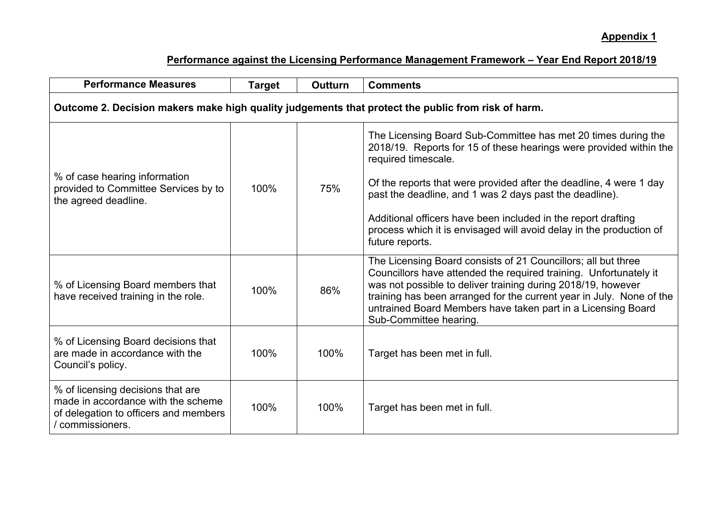| <b>Performance Measures</b>                                                                                                          | <b>Target</b> | <b>Outturn</b> | <b>Comments</b>                                                                                                                                                                                                                                                                                                                                                                                                                                        |  |
|--------------------------------------------------------------------------------------------------------------------------------------|---------------|----------------|--------------------------------------------------------------------------------------------------------------------------------------------------------------------------------------------------------------------------------------------------------------------------------------------------------------------------------------------------------------------------------------------------------------------------------------------------------|--|
| Outcome 2. Decision makers make high quality judgements that protect the public from risk of harm.                                   |               |                |                                                                                                                                                                                                                                                                                                                                                                                                                                                        |  |
| % of case hearing information<br>provided to Committee Services by to<br>the agreed deadline.                                        | 100%          | 75%            | The Licensing Board Sub-Committee has met 20 times during the<br>2018/19. Reports for 15 of these hearings were provided within the<br>required timescale.<br>Of the reports that were provided after the deadline, 4 were 1 day<br>past the deadline, and 1 was 2 days past the deadline).<br>Additional officers have been included in the report drafting<br>process which it is envisaged will avoid delay in the production of<br>future reports. |  |
| % of Licensing Board members that<br>have received training in the role.                                                             | 100%          | 86%            | The Licensing Board consists of 21 Councillors; all but three<br>Councillors have attended the required training. Unfortunately it<br>was not possible to deliver training during 2018/19, however<br>training has been arranged for the current year in July. None of the<br>untrained Board Members have taken part in a Licensing Board<br>Sub-Committee hearing.                                                                                   |  |
| % of Licensing Board decisions that<br>are made in accordance with the<br>Council's policy.                                          | 100%          | 100%           | Target has been met in full.                                                                                                                                                                                                                                                                                                                                                                                                                           |  |
| % of licensing decisions that are<br>made in accordance with the scheme<br>of delegation to officers and members<br>/ commissioners. | 100%          | 100%           | Target has been met in full.                                                                                                                                                                                                                                                                                                                                                                                                                           |  |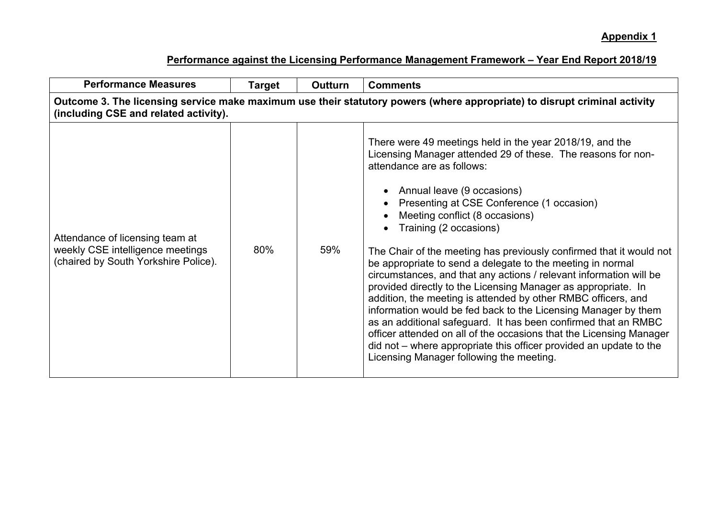| <b>Performance Measures</b>                                                                                                                                        | Target | <b>Outturn</b> | <b>Comments</b>                                                                                                                                                                                                                                                                                                                                                                                                                                                                                                                                                                                                                                                                                                                                                                                                                                                                                                                                                           |  |  |
|--------------------------------------------------------------------------------------------------------------------------------------------------------------------|--------|----------------|---------------------------------------------------------------------------------------------------------------------------------------------------------------------------------------------------------------------------------------------------------------------------------------------------------------------------------------------------------------------------------------------------------------------------------------------------------------------------------------------------------------------------------------------------------------------------------------------------------------------------------------------------------------------------------------------------------------------------------------------------------------------------------------------------------------------------------------------------------------------------------------------------------------------------------------------------------------------------|--|--|
| Outcome 3. The licensing service make maximum use their statutory powers (where appropriate) to disrupt criminal activity<br>(including CSE and related activity). |        |                |                                                                                                                                                                                                                                                                                                                                                                                                                                                                                                                                                                                                                                                                                                                                                                                                                                                                                                                                                                           |  |  |
| Attendance of licensing team at<br>weekly CSE intelligence meetings<br>(chaired by South Yorkshire Police).                                                        | 80%    | 59%            | There were 49 meetings held in the year 2018/19, and the<br>Licensing Manager attended 29 of these. The reasons for non-<br>attendance are as follows:<br>• Annual leave (9 occasions)<br>Presenting at CSE Conference (1 occasion)<br>Meeting conflict (8 occasions)<br>Training (2 occasions)<br>The Chair of the meeting has previously confirmed that it would not<br>be appropriate to send a delegate to the meeting in normal<br>circumstances, and that any actions / relevant information will be<br>provided directly to the Licensing Manager as appropriate. In<br>addition, the meeting is attended by other RMBC officers, and<br>information would be fed back to the Licensing Manager by them<br>as an additional safeguard. It has been confirmed that an RMBC<br>officer attended on all of the occasions that the Licensing Manager<br>did not – where appropriate this officer provided an update to the<br>Licensing Manager following the meeting. |  |  |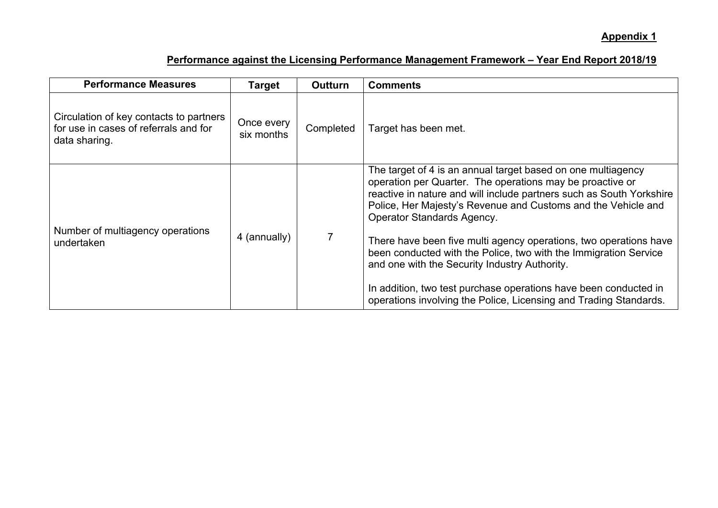| <b>Performance Measures</b>                                                                       | <b>Target</b>            | <b>Outturn</b> | <b>Comments</b>                                                                                                                                                                                                                                                                                                                                                                                                                                                                                                                                                                                                                            |
|---------------------------------------------------------------------------------------------------|--------------------------|----------------|--------------------------------------------------------------------------------------------------------------------------------------------------------------------------------------------------------------------------------------------------------------------------------------------------------------------------------------------------------------------------------------------------------------------------------------------------------------------------------------------------------------------------------------------------------------------------------------------------------------------------------------------|
| Circulation of key contacts to partners<br>for use in cases of referrals and for<br>data sharing. | Once every<br>six months | Completed      | Target has been met.                                                                                                                                                                                                                                                                                                                                                                                                                                                                                                                                                                                                                       |
| Number of multiagency operations<br>undertaken                                                    | 4 (annually)             |                | The target of 4 is an annual target based on one multiagency<br>operation per Quarter. The operations may be proactive or<br>reactive in nature and will include partners such as South Yorkshire<br>Police, Her Majesty's Revenue and Customs and the Vehicle and<br><b>Operator Standards Agency.</b><br>There have been five multi agency operations, two operations have<br>been conducted with the Police, two with the Immigration Service<br>and one with the Security Industry Authority.<br>In addition, two test purchase operations have been conducted in<br>operations involving the Police, Licensing and Trading Standards. |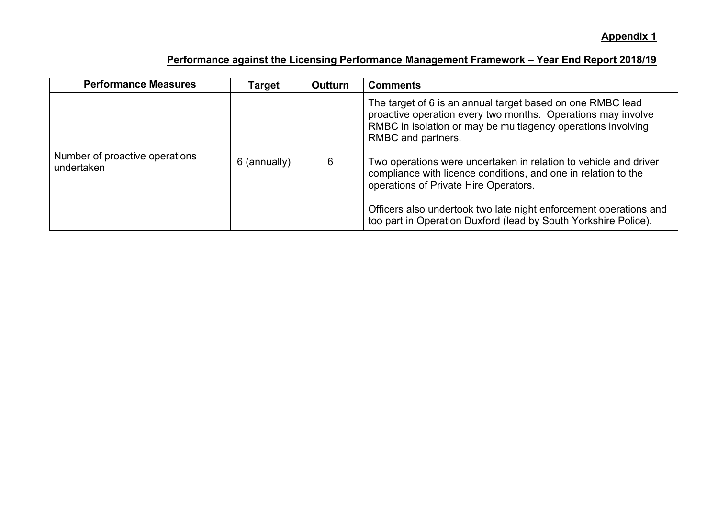| <b>Performance Measures</b>                  | Target       | <b>Outturn</b> | <b>Comments</b>                                                                                                                                                                                                                                                                                                                                                                                                                                                                                                                         |
|----------------------------------------------|--------------|----------------|-----------------------------------------------------------------------------------------------------------------------------------------------------------------------------------------------------------------------------------------------------------------------------------------------------------------------------------------------------------------------------------------------------------------------------------------------------------------------------------------------------------------------------------------|
| Number of proactive operations<br>undertaken | 6 (annually) | 6              | The target of 6 is an annual target based on one RMBC lead<br>proactive operation every two months. Operations may involve<br>RMBC in isolation or may be multiagency operations involving<br>RMBC and partners.<br>Two operations were undertaken in relation to vehicle and driver<br>compliance with licence conditions, and one in relation to the<br>operations of Private Hire Operators.<br>Officers also undertook two late night enforcement operations and<br>too part in Operation Duxford (lead by South Yorkshire Police). |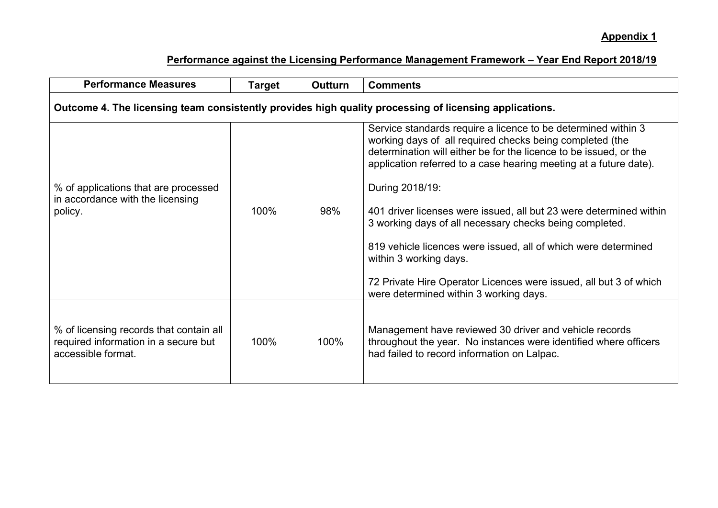| <b>Performance Measures</b>                                                                            | <b>Target</b> | <b>Outturn</b> | <b>Comments</b>                                                                                                                                                                                                                                                                                                                                                                                                                                                                                                                                                                                                                    |  |
|--------------------------------------------------------------------------------------------------------|---------------|----------------|------------------------------------------------------------------------------------------------------------------------------------------------------------------------------------------------------------------------------------------------------------------------------------------------------------------------------------------------------------------------------------------------------------------------------------------------------------------------------------------------------------------------------------------------------------------------------------------------------------------------------------|--|
| Outcome 4. The licensing team consistently provides high quality processing of licensing applications. |               |                |                                                                                                                                                                                                                                                                                                                                                                                                                                                                                                                                                                                                                                    |  |
| % of applications that are processed<br>in accordance with the licensing<br>policy.                    | 100%          | 98%            | Service standards require a licence to be determined within 3<br>working days of all required checks being completed (the<br>determination will either be for the licence to be issued, or the<br>application referred to a case hearing meeting at a future date).<br>During 2018/19:<br>401 driver licenses were issued, all but 23 were determined within<br>3 working days of all necessary checks being completed.<br>819 vehicle licences were issued, all of which were determined<br>within 3 working days.<br>72 Private Hire Operator Licences were issued, all but 3 of which<br>were determined within 3 working days. |  |
| % of licensing records that contain all<br>required information in a secure but<br>accessible format.  | 100%          | 100%           | Management have reviewed 30 driver and vehicle records<br>throughout the year. No instances were identified where officers<br>had failed to record information on Lalpac.                                                                                                                                                                                                                                                                                                                                                                                                                                                          |  |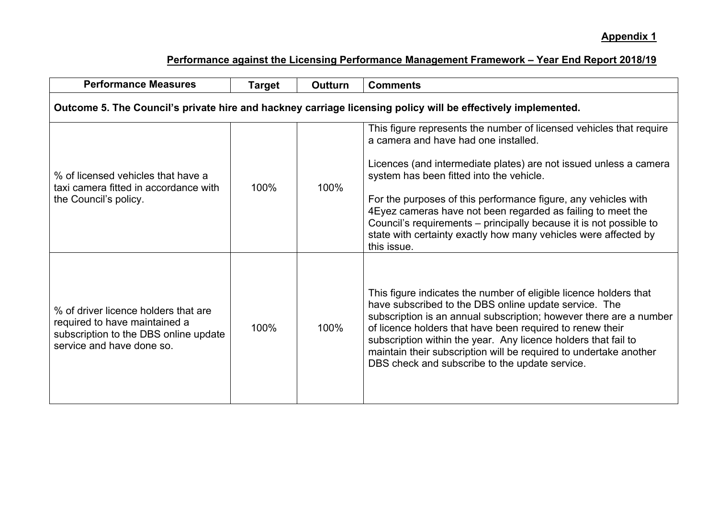| <b>Performance Measures</b>                                                                                                                 | <b>Target</b> | <b>Outturn</b> | <b>Comments</b>                                                                                                                                                                                                                                                                                                                                                                                                                                                                                                        |  |
|---------------------------------------------------------------------------------------------------------------------------------------------|---------------|----------------|------------------------------------------------------------------------------------------------------------------------------------------------------------------------------------------------------------------------------------------------------------------------------------------------------------------------------------------------------------------------------------------------------------------------------------------------------------------------------------------------------------------------|--|
| Outcome 5. The Council's private hire and hackney carriage licensing policy will be effectively implemented.                                |               |                |                                                                                                                                                                                                                                                                                                                                                                                                                                                                                                                        |  |
| % of licensed vehicles that have a<br>taxi camera fitted in accordance with<br>the Council's policy.                                        | 100%          | 100%           | This figure represents the number of licensed vehicles that require<br>a camera and have had one installed.<br>Licences (and intermediate plates) are not issued unless a camera<br>system has been fitted into the vehicle.<br>For the purposes of this performance figure, any vehicles with<br>4 Eyez cameras have not been regarded as failing to meet the<br>Council's requirements – principally because it is not possible to<br>state with certainty exactly how many vehicles were affected by<br>this issue. |  |
| % of driver licence holders that are<br>required to have maintained a<br>subscription to the DBS online update<br>service and have done so. | 100%          | 100%           | This figure indicates the number of eligible licence holders that<br>have subscribed to the DBS online update service. The<br>subscription is an annual subscription; however there are a number<br>of licence holders that have been required to renew their<br>subscription within the year. Any licence holders that fail to<br>maintain their subscription will be required to undertake another<br>DBS check and subscribe to the update service.                                                                 |  |